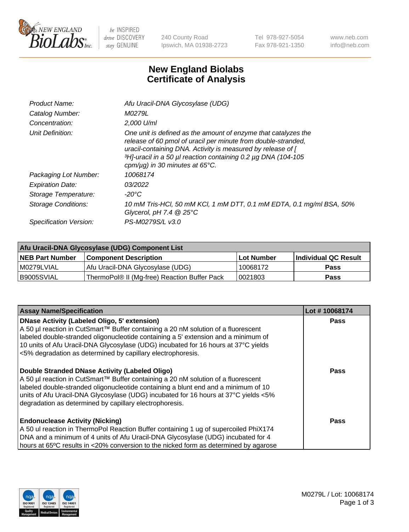

 $be$  INSPIRED drive DISCOVERY stay GENUINE

240 County Road Ipswich, MA 01938-2723 Tel 978-927-5054 Fax 978-921-1350 www.neb.com info@neb.com

## **New England Biolabs Certificate of Analysis**

| Afu Uracil-DNA Glycosylase (UDG)                                                                                                                                                                                                                                                                        |
|---------------------------------------------------------------------------------------------------------------------------------------------------------------------------------------------------------------------------------------------------------------------------------------------------------|
| M0279L                                                                                                                                                                                                                                                                                                  |
| $2.000$ U/ml                                                                                                                                                                                                                                                                                            |
| One unit is defined as the amount of enzyme that catalyzes the<br>release of 60 pmol of uracil per minute from double-stranded,<br>uracil-containing DNA. Activity is measured by release of [<br>3H]-uracil in a 50 µl reaction containing 0.2 µg DNA (104-105<br>cpm/ $\mu$ g) in 30 minutes at 65°C. |
| 10068174                                                                                                                                                                                                                                                                                                |
| 03/2022                                                                                                                                                                                                                                                                                                 |
| $-20^{\circ}$ C                                                                                                                                                                                                                                                                                         |
| 10 mM Tris-HCl, 50 mM KCl, 1 mM DTT, 0.1 mM EDTA, 0.1 mg/ml BSA, 50%<br>Glycerol, pH 7.4 $@25^{\circ}C$                                                                                                                                                                                                 |
| PS-M0279S/L v3.0                                                                                                                                                                                                                                                                                        |
|                                                                                                                                                                                                                                                                                                         |

| Afu Uracil-DNA Glycosylase (UDG) Component List |                                              |                   |                      |  |  |
|-------------------------------------------------|----------------------------------------------|-------------------|----------------------|--|--|
| <b>NEB Part Number</b>                          | <b>Component Description</b>                 | <b>Lot Number</b> | Individual QC Result |  |  |
| I M0279LVIAL                                    | Afu Uracil-DNA Glycosylase (UDG)             | 10068172          | <b>Pass</b>          |  |  |
| I B9005SVIAL                                    | ThermoPol® II (Mg-free) Reaction Buffer Pack | 10021803          | Pass                 |  |  |

| <b>Assay Name/Specification</b>                                                                                                                                                                                                                                                                                                                                                     | Lot #10068174 |
|-------------------------------------------------------------------------------------------------------------------------------------------------------------------------------------------------------------------------------------------------------------------------------------------------------------------------------------------------------------------------------------|---------------|
| <b>DNase Activity (Labeled Oligo, 5' extension)</b><br>A 50 µl reaction in CutSmart™ Buffer containing a 20 nM solution of a fluorescent<br>labeled double-stranded oligonucleotide containing a 5' extension and a minimum of<br>10 units of Afu Uracil-DNA Glycosylase (UDG) incubated for 16 hours at 37°C yields<br><5% degradation as determined by capillary electrophoresis. | Pass          |
| Double Stranded DNase Activity (Labeled Oligo)<br>A 50 µl reaction in CutSmart™ Buffer containing a 20 nM solution of a fluorescent<br>labeled double-stranded oligonucleotide containing a blunt end and a minimum of 10<br>units of Afu Uracil-DNA Glycosylase (UDG) incubated for 16 hours at 37°C yields <5%<br>degradation as determined by capillary electrophoresis.         | <b>Pass</b>   |
| <b>Endonuclease Activity (Nicking)</b><br>A 50 ul reaction in ThermoPol Reaction Buffer containing 1 ug of supercoiled PhiX174<br>DNA and a minimum of 4 units of Afu Uracil-DNA Glycosylase (UDG) incubated for 4<br>hours at 65°C results in <20% conversion to the nicked form as determined by agarose                                                                          | Pass          |

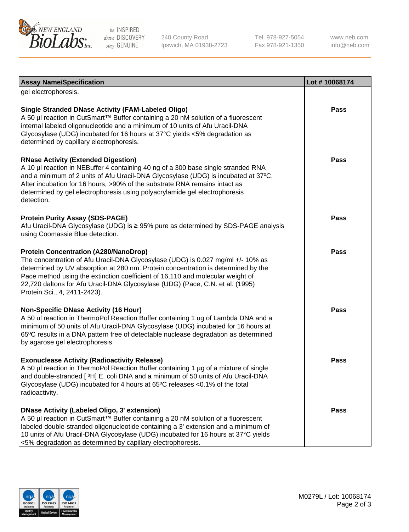

be INSPIRED drive DISCOVERY stay GENUINE

240 County Road Ipswich, MA 01938-2723 Tel 978-927-5054 Fax 978-921-1350

www.neb.com info@neb.com

| <b>Assay Name/Specification</b>                                                                                                                                                                                                                                                                                                                                                                                         | Lot #10068174 |
|-------------------------------------------------------------------------------------------------------------------------------------------------------------------------------------------------------------------------------------------------------------------------------------------------------------------------------------------------------------------------------------------------------------------------|---------------|
| gel electrophoresis.                                                                                                                                                                                                                                                                                                                                                                                                    |               |
| <b>Single Stranded DNase Activity (FAM-Labeled Oligo)</b><br>A 50 µl reaction in CutSmart™ Buffer containing a 20 nM solution of a fluorescent<br>internal labeled oligonucleotide and a minimum of 10 units of Afu Uracil-DNA<br>Glycosylase (UDG) incubated for 16 hours at 37°C yields <5% degradation as<br>determined by capillary electrophoresis.                                                                | Pass          |
| <b>RNase Activity (Extended Digestion)</b><br>A 10 µl reaction in NEBuffer 4 containing 40 ng of a 300 base single stranded RNA<br>and a minimum of 2 units of Afu Uracil-DNA Glycosylase (UDG) is incubated at 37°C.<br>After incubation for 16 hours, >90% of the substrate RNA remains intact as<br>determined by gel electrophoresis using polyacrylamide gel electrophoresis<br>detection.                         | Pass          |
| <b>Protein Purity Assay (SDS-PAGE)</b><br>Afu Uracil-DNA Glycosylase (UDG) is ≥ 95% pure as determined by SDS-PAGE analysis<br>using Coomassie Blue detection.                                                                                                                                                                                                                                                          | <b>Pass</b>   |
| <b>Protein Concentration (A280/NanoDrop)</b><br>The concentration of Afu Uracil-DNA Glycosylase (UDG) is 0.027 mg/ml +/- 10% as<br>determined by UV absorption at 280 nm. Protein concentration is determined by the<br>Pace method using the extinction coefficient of 16,110 and molecular weight of<br>22,720 daltons for Afu Uracil-DNA Glycosylase (UDG) (Pace, C.N. et al. (1995)<br>Protein Sci., 4, 2411-2423). | <b>Pass</b>   |
| <b>Non-Specific DNase Activity (16 Hour)</b><br>A 50 ul reaction in ThermoPol Reaction Buffer containing 1 ug of Lambda DNA and a<br>minimum of 50 units of Afu Uracil-DNA Glycosylase (UDG) incubated for 16 hours at<br>65°C results in a DNA pattern free of detectable nuclease degradation as determined<br>by agarose gel electrophoresis.                                                                        | <b>Pass</b>   |
| <b>Exonuclease Activity (Radioactivity Release)</b><br>A 50 µl reaction in ThermoPol Reaction Buffer containing 1 µg of a mixture of single<br>and double-stranded [3H] E. coli DNA and a minimum of 50 units of Afu Uracil-DNA<br>Glycosylase (UDG) incubated for 4 hours at 65°C releases <0.1% of the total<br>radioactivity.                                                                                        | <b>Pass</b>   |
| <b>DNase Activity (Labeled Oligo, 3' extension)</b><br>A 50 µl reaction in CutSmart™ Buffer containing a 20 nM solution of a fluorescent<br>labeled double-stranded oligonucleotide containing a 3' extension and a minimum of<br>10 units of Afu Uracil-DNA Glycosylase (UDG) incubated for 16 hours at 37°C yields<br><5% degradation as determined by capillary electrophoresis.                                     | Pass          |